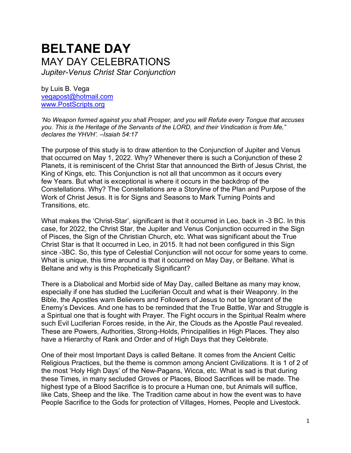# **BELTANE DAY** MAY DAY CELEBRATIONS *Jupiter-Venus Christ Star Conjunction*

by Luis B. Vega [vegapost@hotmail.com](mailto:vegapost@hotmail.com) [www.PostScripts.org](http://www.postscripts.org/)

*'No Weapon formed against you shall Prosper, and you will Refute every Tongue that accuses you. This is the Heritage of the Servants of the LORD, and their Vindication is from Me," declares the YHVH'. –Isaiah 54:17*

The purpose of this study is to draw attention to the Conjunction of Jupiter and Venus that occurred on May 1, 2022. Why? Whenever there is such a Conjunction of these 2 Planets, it is reminiscent of the Christ Star that announced the Birth of Jesus Christ, the King of Kings, etc. This Conjunction is not all that uncommon as it occurs every few Years. But what is exceptional is where it occurs in the backdrop of the Constellations. Why? The Constellations are a Storyline of the Plan and Purpose of the Work of Christ Jesus. It is for Signs and Seasons to Mark Turning Points and Transitions, etc.

What makes the 'Christ-Star', significant is that it occurred in Leo, back in -3 BC. In this case, for 2022, the Christ Star, the Jupiter and Venus Conjunction occurred in the Sign of Pisces, the Sign of the Christian Church, etc. What was significant about the True Christ Star is that It occurred in Leo, in 2015. It had not been configured in this Sign since -3BC. So, this type of Celestial Conjunction will not occur for some years to come. What is unique, this time around is that it occurred on May Day, or Beltane. What is Beltane and why is this Prophetically Significant?

There is a Diabolical and Morbid side of May Day, called Beltane as many may know, especially if one has studied the Luciferian Occult and what is their Weaponry. In the Bible, the Apostles warn Believers and Followers of Jesus to not be Ignorant of the Enemy's Devices. And one has to be reminded that the True Battle, War and Struggle is a Spiritual one that is fought with Prayer. The Fight occurs in the Spiritual Realm where such Evil Luciferian Forces reside, in the Air, the Clouds as the Apostle Paul revealed. These are Powers, Authorities, Strong-Holds, Principalities in High Places. They also have a Hierarchy of Rank and Order and of High Days that they Celebrate.

One of their most Important Days is called Beltane. It comes from the Ancient Celtic Religious Practices, but the theme is common among Ancient Civilizations. It is 1 of 2 of the most 'Holy High Days' of the New-Pagans, Wicca, etc. What is sad is that during these Times, in many secluded Groves or Places, Blood Sacrifices will be made. The highest type of a Blood Sacrifice is to procure a Human one, but Animals will suffice, like Cats, Sheep and the like. The Tradition came about in how the event was to have People Sacrifice to the Gods for protection of Villages, Homes, People and Livestock.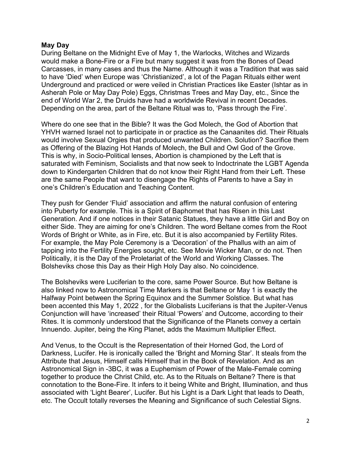#### **May Day**

During Beltane on the Midnight Eve of May 1, the Warlocks, Witches and Wizards would make a Bone-Fire or a Fire but many suggest it was from the Bones of Dead Carcasses, in many cases and thus the Name. Although it was a Tradition that was said to have 'Died' when Europe was 'Christianized', a lot of the Pagan Rituals either went Underground and practiced or were veiled in Christian Practices like Easter (Ishtar as in Asherah Pole or May Day Pole) Eggs, Christmas Trees and May Day, etc., Since the end of World War 2, the Druids have had a worldwide Revival in recent Decades. Depending on the area, part of the Beltane Ritual was to, 'Pass through the Fire'.

Where do one see that in the Bible? It was the God Molech, the God of Abortion that YHVH warned Israel not to participate in or practice as the Canaanites did. Their Rituals would involve Sexual Orgies that produced unwanted Children. Solution? Sacrifice them as Offering of the Blazing Hot Hands of Molech, the Bull and Owl God of the Grove. This is why, in Socio-Political lenses, Abortion is championed by the Left that is saturated with Feminism, Socialists and that now seek to Indoctrinate the LGBT Agenda down to Kindergarten Children that do not know their Right Hand from their Left. These are the same People that want to disengage the Rights of Parents to have a Say in one's Children's Education and Teaching Content.

They push for Gender 'Fluid' association and affirm the natural confusion of entering into Puberty for example. This is a Spirit of Baphomet that has Risen in this Last Generation. And if one notices in their Satanic Statues, they have a little Girl and Boy on either Side. They are aiming for one's Children. The word Beltane comes from the Root Words of Bright or White, as in Fire, etc. But it is also accompanied by Fertility Rites. For example, the May Pole Ceremony is a 'Decoration' of the Phallus with an aim of tapping into the Fertility Energies sought, etc. See Movie Wicker Man, or do not. Then Politically, it is the Day of the Proletariat of the World and Working Classes. The Bolsheviks chose this Day as their High Holy Day also. No coincidence.

The Bolsheviks were Luciferian to the core, same Power Source. But how Beltane is also linked now to Astronomical Time Markers is that Beltane or May 1 is exactly the Halfway Point between the Spring Equinox and the Summer Solstice. But what has been accented this May 1, 2022 , for the Globalists Luciferians is that the Jupiter-Venus Conjunction will have 'increased' their Ritual 'Powers' and Outcome, according to their Rites. It is commonly understood that the Significance of the Planets convey a certain Innuendo. Jupiter, being the King Planet, adds the Maximum Multiplier Effect.

And Venus, to the Occult is the Representation of their Horned God, the Lord of Darkness, Lucifer. He is ironically called the 'Bright and Morning Star'. It steals from the Attribute that Jesus, Himself calls Himself that in the Book of Revelation. And as an Astronomical Sign in -3BC, it was a Euphemism of Power of the Male-Female coming together to produce the Christ Child, etc. As to the Rituals on Beltane? There is that connotation to the Bone-Fire. It infers to it being White and Bright, Illumination, and thus associated with 'Light Bearer', Lucifer. But his Light is a Dark Light that leads to Death, etc. The Occult totally reverses the Meaning and Significance of such Celestial Signs.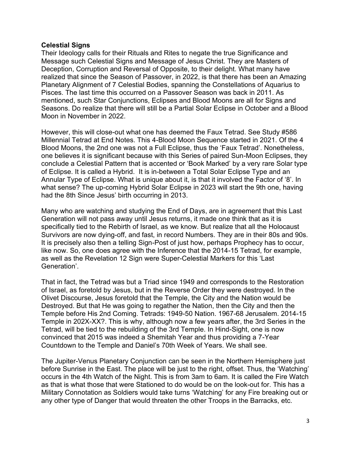#### **Celestial Signs**

Their Ideology calls for their Rituals and Rites to negate the true Significance and Message such Celestial Signs and Message of Jesus Christ. They are Masters of Deception, Corruption and Reversal of Opposite, to their delight. What many have realized that since the Season of Passover, in 2022, is that there has been an Amazing Planetary Alignment of 7 Celestial Bodies, spanning the Constellations of Aquarius to Pisces. The last time this occurred on a Passover Season was back in 2011. As mentioned, such Star Conjunctions, Eclipses and Blood Moons are all for Signs and Seasons. Do realize that there will still be a Partial Solar Eclipse in October and a Blood Moon in November in 2022.

However, this will close-out what one has deemed the Faux Tetrad. See Study #586 Millennial Tetrad at End Notes. This 4-Blood Moon Sequence started in 2021. Of the 4 Blood Moons, the 2nd one was not a Full Eclipse, thus the 'Faux Tetrad'. Nonetheless, one believes it is significant because with this Series of paired Sun-Moon Eclipses, they conclude a Celestial Pattern that is accented or 'Book Marked' by a very rare Solar type of Eclipse. It is called a Hybrid. It is in-between a Total Solar Eclipse Type and an Annular Type of Eclipse. What is unique about it, is that it involved the Factor of '8'. In what sense? The up-coming Hybrid Solar Eclipse in 2023 will start the 9th one, having had the 8th Since Jesus' birth occurring in 2013.

Many who are watching and studying the End of Days, are in agreement that this Last Generation will not pass away until Jesus returns, it made one think that as it is specifically tied to the Rebirth of Israel, as we know. But realize that all the Holocaust Survivors are now dying-off, and fast, in record Numbers. They are in their 80s and 90s. It is precisely also then a telling Sign-Post of just how, perhaps Prophecy has to occur, like now. So, one does agree with the Inference that the 2014-15 Tetrad, for example, as well as the Revelation 12 Sign were Super-Celestial Markers for this 'Last Generation'.

That in fact, the Tetrad was but a Triad since 1949 and corresponds to the Restoration of Israel, as foretold by Jesus, but in the Reverse Order they were destroyed. In the Olivet Discourse, Jesus foretold that the Temple, the City and the Nation would be Destroyed. But that He was going to regather the Nation, then the City and then the Temple before His 2nd Coming. Tetrads: 1949-50 Nation. 1967-68 Jerusalem. 2014-15 Temple in 202X-XX?. This is why, although now a few years after, the 3rd Series in the Tetrad, will be tied to the rebuilding of the 3rd Temple. In Hind-Sight, one is now convinced that 2015 was indeed a Shemitah Year and thus providing a 7-Year Countdown to the Temple and Daniel's 70th Week of Years. We shall see.

The Jupiter-Venus Planetary Conjunction can be seen in the Northern Hemisphere just before Sunrise in the East. The place will be just to the right, offset. Thus, the 'Watching' occurs in the 4th Watch of the Night. This is from 3am to 6am. It is called the Fire Watch as that is what those that were Stationed to do would be on the look-out for. This has a Military Connotation as Soldiers would take turns 'Watching' for any Fire breaking out or any other type of Danger that would threaten the other Troops in the Barracks, etc.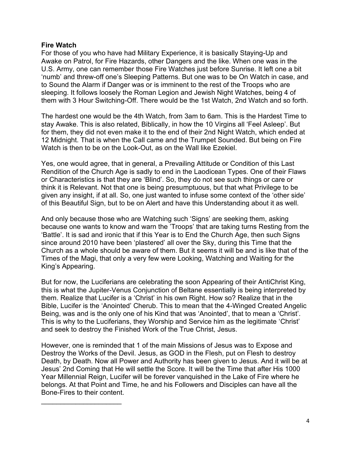#### **Fire Watch**

 $\overline{\phantom{a}}$  , where  $\overline{\phantom{a}}$  , where  $\overline{\phantom{a}}$  , where  $\overline{\phantom{a}}$ 

For those of you who have had Military Experience, it is basically Staying-Up and Awake on Patrol, for Fire Hazards, other Dangers and the like. When one was in the U.S. Army, one can remember those Fire Watches just before Sunrise. It left one a bit 'numb' and threw-off one's Sleeping Patterns. But one was to be On Watch in case, and to Sound the Alarm if Danger was or is imminent to the rest of the Troops who are sleeping. It follows loosely the Roman Legion and Jewish Night Watches, being 4 of them with 3 Hour Switching-Off. There would be the 1st Watch, 2nd Watch and so forth.

The hardest one would be the 4th Watch, from 3am to 6am. This is the Hardest Time to stay Awake. This is also related, Biblically, in how the 10 Virgins all 'Feel Asleep'. But for them, they did not even make it to the end of their 2nd Night Watch, which ended at 12 Midnight. That is when the Call came and the Trumpet Sounded. But being on Fire Watch is then to be on the Look-Out, as on the Wall like Ezekiel.

Yes, one would agree, that in general, a Prevailing Attitude or Condition of this Last Rendition of the Church Age is sadly to end in the Laodicean Types. One of their Flaws or Characteristics is that they are 'Blind'. So, they do not see such things or care or think it is Relevant. Not that one is being presumptuous, but that what Privilege to be given any insight, if at all. So, one just wanted to infuse some context of the 'other side' of this Beautiful Sign, but to be on Alert and have this Understanding about it as well.

And only because those who are Watching such 'Signs' are seeking them, asking because one wants to know and warn the 'Troops' that are taking turns Resting from the 'Battle'. It is sad and ironic that if this Year is to End the Church Age, then such Signs since around 2010 have been 'plastered' all over the Sky, during this Time that the Church as a whole should be aware of them. But it seems it will be and is like that of the Times of the Magi, that only a very few were Looking, Watching and Waiting for the King's Appearing.

But for now, the Luciferians are celebrating the soon Appearing of their AntiChrist King, this is what the Jupiter-Venus Conjunction of Beltane essentially is being interpreted by them. Realize that Lucifer is a 'Christ' in his own Right. How so? Realize that in the Bible, Lucifer is the 'Anointed' Cherub. This to mean that the 4-Winged Created Angelic Being, was and is the only one of his Kind that was 'Anointed', that to mean a 'Christ'. This is why to the Luciferians, they Worship and Service him as the legitimate 'Christ' and seek to destroy the Finished Work of the True Christ, Jesus.

However, one is reminded that 1 of the main Missions of Jesus was to Expose and Destroy the Works of the Devil. Jesus, as GOD in the Flesh, put on Flesh to destroy Death, by Death. Now all Power and Authority has been given to Jesus. And it will be at Jesus' 2nd Coming that He will settle the Score. It will be the Time that after His 1000 Year Millennial Reign, Lucifer will be forever vanquished in the Lake of Fire where he belongs. At that Point and Time, he and his Followers and Disciples can have all the Bone-Fires to their content.